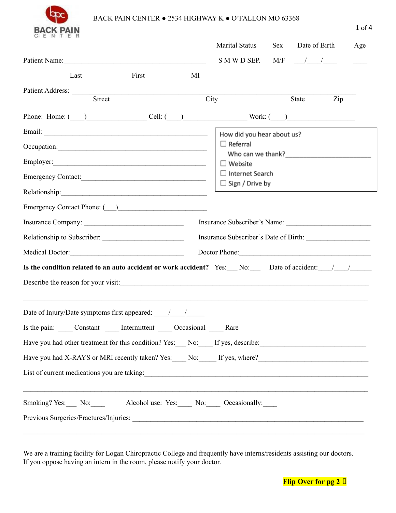

## BACK PAIN CENTER • 2534 HIGHWAY K • O'FALLON MO 63368

| CENTER                                                                                                                                                                                                                                                                         | <b>Marital Status</b><br>Date of Birth<br><b>Sex</b><br>Age<br>S M W D SEP. M/F $\frac{\ }{\ }$                                                                                                |
|--------------------------------------------------------------------------------------------------------------------------------------------------------------------------------------------------------------------------------------------------------------------------------|------------------------------------------------------------------------------------------------------------------------------------------------------------------------------------------------|
| First<br>Last<br>MI                                                                                                                                                                                                                                                            |                                                                                                                                                                                                |
| <b>Street</b>                                                                                                                                                                                                                                                                  | City<br>State<br>Zip                                                                                                                                                                           |
| Phone: Home: $(\_\_)$ Cell: $(\_\_)$ Cell: $(\_\_)$ Work: $(\_\_)$                                                                                                                                                                                                             |                                                                                                                                                                                                |
|                                                                                                                                                                                                                                                                                | How did you hear about us?<br>$\Box$ Referral<br>Who can we thank?<br><u> University</u><br>$\Box$ Website<br>$\Box$ Internet Search<br>$\Box$ Sign / Drive by<br>Insurance Subscriber's Name: |
| Medical Doctor:<br><b>Is the condition related to an auto accident or work accident?</b> Yes: No: Date of accident: / /<br>Describe the reason for your visit:                                                                                                                 | Doctor Phone:                                                                                                                                                                                  |
| Is the pain: _____ Constant ______ Intermittent _____ Occasional _____ Rare<br>Have you had other treatment for this condition? Yes: No: Flyes, describe:<br>Have you had X-RAYS or MRI recently taken? Yes: No: If yes, where?<br>List of current medications you are taking: |                                                                                                                                                                                                |
| Smoking? Yes: No: No: Alcohol use: Yes: No: Occasionally:                                                                                                                                                                                                                      | <u> 1989 - John Stoff, deutscher Stoff, der Stoff, deutscher Stoff, der Stoff, der Stoff, der Stoff, der Stoff, d</u>                                                                          |

We are a training facility for Logan Chiropractic College and frequently have interns/residents assisting our doctors. If you oppose having an intern in the room, please notify your doctor.

 $\mathcal{L}_\mathcal{L} = \mathcal{L}_\mathcal{L} = \mathcal{L}_\mathcal{L} = \mathcal{L}_\mathcal{L} = \mathcal{L}_\mathcal{L} = \mathcal{L}_\mathcal{L} = \mathcal{L}_\mathcal{L} = \mathcal{L}_\mathcal{L} = \mathcal{L}_\mathcal{L} = \mathcal{L}_\mathcal{L} = \mathcal{L}_\mathcal{L} = \mathcal{L}_\mathcal{L} = \mathcal{L}_\mathcal{L} = \mathcal{L}_\mathcal{L} = \mathcal{L}_\mathcal{L} = \mathcal{L}_\mathcal{L} = \mathcal{L}_\mathcal{L}$ 



1 of 4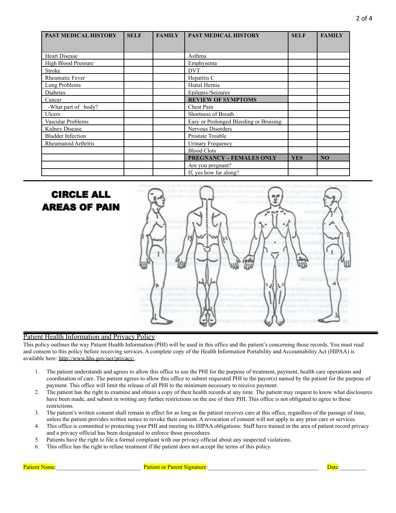| <b>PAST MEDICAL HISTORY</b> | <b>SELF</b> | <b>FAMILY</b> | PAST MEDICAL HISTORY                   | <b>SELF</b> | <b>FAMILY</b> |
|-----------------------------|-------------|---------------|----------------------------------------|-------------|---------------|
|                             |             |               |                                        |             |               |
| <b>Heart Disease</b>        |             |               | Asthma                                 |             |               |
| <b>High Blood Pressure</b>  |             |               | Emphysema                              |             |               |
| Stroke                      |             |               | <b>DVT</b>                             |             |               |
| <b>Rheumatic Fever</b>      |             |               | Hepatitis C                            |             |               |
| Lung Problems               |             |               | Hiatal Hernia                          |             |               |
| Diabetes                    |             |               | Epilepsy/Seizures                      |             |               |
| Cancer                      |             |               | <b>REVIEW OF SYMPTOMS</b>              |             |               |
| -What part of body?         |             |               | Chest Pain                             |             |               |
| Ulcers                      |             |               | Shortness of Breath                    |             |               |
| Vascular Problems           |             |               | Easy or Prolonged Bleeding or Bruising |             |               |
| Kidney Disease              |             |               | Nervous Disorders                      |             |               |
| <b>Bladder Infection</b>    |             |               | Prostate Trouble                       |             |               |
| Rheumatoid Arthritis        |             |               | Urinary Frequency                      |             |               |
|                             |             |               | <b>Blood Clots</b>                     |             |               |
|                             |             |               | <b>PREGNANCY - FEMALES ONLY</b>        | <b>YES</b>  | <b>NO</b>     |
|                             |             |               | Are you pregnant?                      |             |               |
|                             |             |               | If, yes how far along?                 |             |               |

# **CIRCLE ALL AREAS OF PAIN**



#### Patient Health Information and Privacy Policy

This policy outlines the way Patient Health Information (PHI) will be used in this office and the patient's concerning those records. You must read and consent to this policy before receiving services. A complete copy of the Health Information Portability and Accountability Act (HIPAA) is available here: [http://www.hhs.gov/ocr/privacy/.](http://www.hhs.gov/ocr/privacy/)

- 1. The patient understands and agrees to allow this office to use the PHI for the purpose of treatment, payment, health care operations and coordination of care. The patient agrees to allow this office to submit requested PHI to the payor(s) named by the patient for the purpose of payment. This office will limit the release of all PHI to the minimum necessary to receive payment.
- 2. The patient has the right to examine and obtain a copy of their health records at any time. The patient may request to know what disclosures have been made, and submit in writing any further restrictions on the use of their PHI. This office is not obligated to agree to those restrictions.
- 3. The patient's written consent shall remain in effect for as long as the patient receives care at this office, regardless of the passage of time, unless the patient provides written notice to revoke their consent. A revocation of consent will not apply to any prior care or services.
- 4. This office is committed to protecting your PHI and meeting its HIPAA obligations: Staff have trained in the area of patient record privacy and a privacy official has been designated to enforce those procedures.
- 5. Patients have the right to file a formal complaint with our privacy official about any suspected violations.
- 6. This office has the right to refuse treatment if the patient does not accept the terms of this policy.

Patient Name:\_\_\_\_\_\_\_\_\_\_\_\_\_\_\_\_\_\_\_\_\_\_\_\_\_\_\_\_\_ Patient or Parent Signature:\_\_\_\_\_\_\_\_\_\_\_\_\_\_\_\_\_\_\_\_\_\_\_\_\_\_\_\_\_\_\_\_\_\_\_\_\_\_ Date:\_\_\_\_\_\_\_\_\_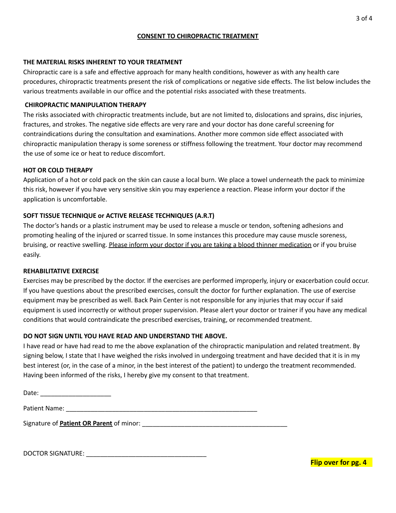#### **CONSENT TO CHIROPRACTIC TREATMENT**

### **THE MATERIAL RISKS INHERENT TO YOUR TREATMENT**

Chiropractic care is a safe and effective approach for many health conditions, however as with any health care procedures, chiropractic treatments present the risk of complications or negative side effects. The list below includes the various treatments available in our office and the potential risks associated with these treatments.

### **CHIROPRACTIC MANIPULATION THERAPY**

The risks associated with chiropractic treatments include, but are not limited to, dislocations and sprains, disc injuries, fractures, and strokes. The negative side effects are very rare and your doctor has done careful screening for contraindications during the consultation and examinations. Another more common side effect associated with chiropractic manipulation therapy is some soreness or stiffness following the treatment. Your doctor may recommend the use of some ice or heat to reduce discomfort.

### **HOT OR COLD THERAPY**

Application of a hot or cold pack on the skin can cause a local burn. We place a towel underneath the pack to minimize this risk, however if you have very sensitive skin you may experience a reaction. Please inform your doctor if the application is uncomfortable.

### **SOFT TISSUE TECHNIQUE or ACTIVE RELEASE TECHNIQUES (A.R.T)**

The doctor's hands or a plastic instrument may be used to release a muscle or tendon, softening adhesions and promoting healing of the injured or scarred tissue. In some instances this procedure may cause muscle soreness, bruising, or reactive swelling. Please inform your doctor if you are taking a blood thinner medication or if you bruise easily.

#### **REHABILITATIVE EXERCISE**

Exercises may be prescribed by the doctor. If the exercises are performed improperly, injury or exacerbation could occur. If you have questions about the prescribed exercises, consult the doctor for further explanation. The use of exercise equipment may be prescribed as well. Back Pain Center is not responsible for any injuries that may occur if said equipment is used incorrectly or without proper supervision. Please alert your doctor or trainer if you have any medical conditions that would contraindicate the prescribed exercises, training, or recommended treatment.

#### **DO NOT SIGN UNTIL YOU HAVE READ AND UNDERSTAND THE ABOVE.**

I have read or have had read to me the above explanation of the chiropractic manipulation and related treatment. By signing below, I state that I have weighed the risks involved in undergoing treatment and have decided that it is in my best interest (or, in the case of a minor, in the best interest of the patient) to undergo the treatment recommended. Having been informed of the risks, I hereby give my consent to that treatment.

Date: \_\_\_\_\_\_\_\_\_\_\_\_\_\_\_\_\_\_\_\_

Patient Name: \_\_\_\_\_\_\_\_\_\_\_\_\_\_\_\_\_\_\_\_\_\_\_\_\_\_\_\_\_\_\_\_\_\_\_\_\_\_\_\_\_\_\_\_\_\_\_\_\_\_\_\_\_\_

Signature of **Patient OR Parent** of minor: \_\_\_\_\_\_\_\_\_\_\_\_\_\_\_\_\_\_\_\_\_\_\_\_\_\_\_\_\_\_\_\_\_\_\_\_\_\_\_\_\_

DOCTOR SIGNATURE: \_\_\_\_\_\_\_\_\_\_\_\_\_\_\_\_\_\_\_\_\_\_\_\_\_\_\_\_\_\_\_\_\_\_

**Flip over for pg. 4**